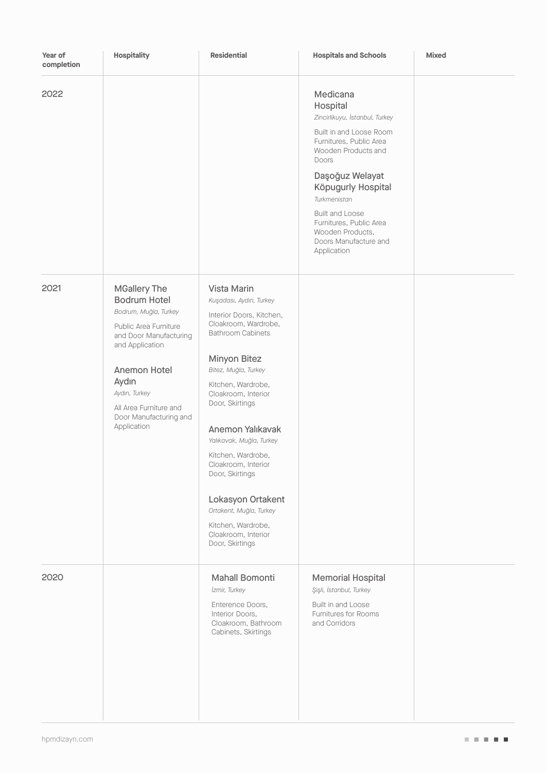| Year of<br>completion | Hospitality                                                                                                                                                                                                                                            | <b>Residential</b>                                                                                                                                                                                                                                                                                                                                                                                                                                             | <b>Hospitals and Schools</b>                                                                                                                                                                                                                                                                                           | <b>Mixed</b> |
|-----------------------|--------------------------------------------------------------------------------------------------------------------------------------------------------------------------------------------------------------------------------------------------------|----------------------------------------------------------------------------------------------------------------------------------------------------------------------------------------------------------------------------------------------------------------------------------------------------------------------------------------------------------------------------------------------------------------------------------------------------------------|------------------------------------------------------------------------------------------------------------------------------------------------------------------------------------------------------------------------------------------------------------------------------------------------------------------------|--------------|
| 2022                  |                                                                                                                                                                                                                                                        |                                                                                                                                                                                                                                                                                                                                                                                                                                                                | Medicana<br>Hospital<br>Zincirlikuyu, İstanbul, Turkey<br>Built in and Loose Room<br>Furnitures, Public Area<br>Wooden Products and<br>Doors<br>Daşoğuz Welayat<br>Köpugurly Hospital<br>Turkmenistan<br><b>Built and Loose</b><br>Furnitures, Public Area<br>Wooden Products,<br>Doors Manufacture and<br>Application |              |
| 2021                  | <b>MGallery The</b><br><b>Bodrum Hotel</b><br>Bodrum, Muğla, Turkey<br>Public Area Furniture<br>and Door Manufacturing<br>and Application<br>Anemon Hotel<br>Aydın<br>Aydın, Turkey<br>All Area Furniture and<br>Door Manufacturing and<br>Application | Vista Marin<br>Kuşadası, Aydın, Turkey<br>Interior Doors, Kitchen,<br>Cloakroom, Wardrobe,<br><b>Bathroom Cabinets</b><br>Minyon Bitez<br>Bitez, Muğla, Turkey<br>Kitchen, Wardrobe,<br>Cloakroom, Interior<br>Door, Skirtings<br>Anemon Yalıkavak<br>Yalıkavak, Muğla, Turkey<br>Kitchen, Wardrobe,<br>Cloakroom, Interior<br>Door, Skirtings<br>Lokasyon Ortakent<br>Ortakent, Muğla, Turkey<br>Kitchen, Wardrobe,<br>Cloakroom, Interior<br>Door, Skirtings |                                                                                                                                                                                                                                                                                                                        |              |
| 2020                  |                                                                                                                                                                                                                                                        | Mahall Bomonti<br>İzmir, Turkey<br>Enterence Doors,<br>Interior Doors,<br>Cloakroom, Bathroom<br>Cabinets, Skirtings                                                                                                                                                                                                                                                                                                                                           | <b>Memorial Hospital</b><br>Şişli, İstanbul, Turkey<br>Built in and Loose<br>Furnitures for Rooms<br>and Corridors                                                                                                                                                                                                     |              |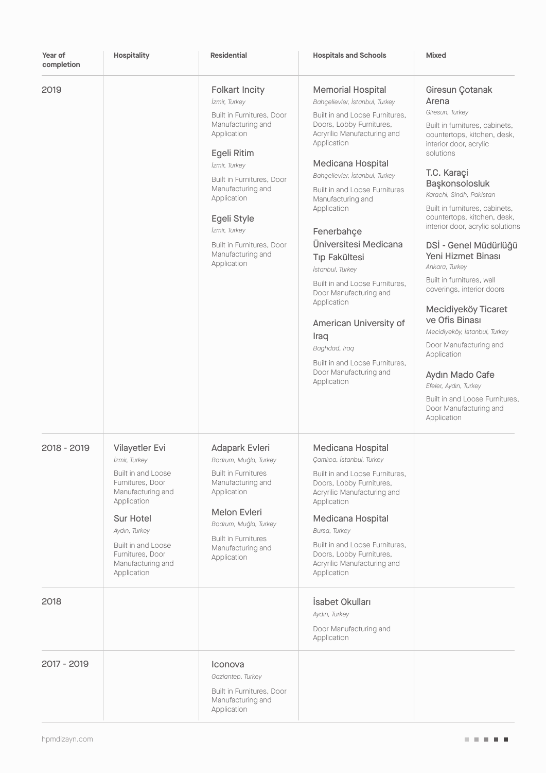| Year of<br>completion | <b>Hospitality</b>                                                                                                                                                                                                        | <b>Residential</b>                                                                                                                                                                                                                                                                                        | <b>Hospitals and Schools</b>                                                                                                                                                                                                                                                                                                                                                                                                                                                                                                                                                                          | <b>Mixed</b>                                                                                                                                                                                                                                                                                                                                                                                                                                                                                                                                                                                                                                                                               |
|-----------------------|---------------------------------------------------------------------------------------------------------------------------------------------------------------------------------------------------------------------------|-----------------------------------------------------------------------------------------------------------------------------------------------------------------------------------------------------------------------------------------------------------------------------------------------------------|-------------------------------------------------------------------------------------------------------------------------------------------------------------------------------------------------------------------------------------------------------------------------------------------------------------------------------------------------------------------------------------------------------------------------------------------------------------------------------------------------------------------------------------------------------------------------------------------------------|--------------------------------------------------------------------------------------------------------------------------------------------------------------------------------------------------------------------------------------------------------------------------------------------------------------------------------------------------------------------------------------------------------------------------------------------------------------------------------------------------------------------------------------------------------------------------------------------------------------------------------------------------------------------------------------------|
| 2019                  |                                                                                                                                                                                                                           | <b>Folkart Incity</b><br>İzmir, Turkey<br>Built in Furnitures, Door<br>Manufacturing and<br>Application<br>Egeli Ritim<br>İzmir, Turkey<br>Built in Furnitures, Door<br>Manufacturing and<br>Application<br>Egeli Style<br>İzmir, Turkey<br>Built in Furnitures, Door<br>Manufacturing and<br>Application | <b>Memorial Hospital</b><br>Bahçelievler, İstanbul, Turkey<br>Built in and Loose Furnitures,<br>Doors, Lobby Furnitures,<br>Acryrilic Manufacturing and<br>Application<br>Medicana Hospital<br>Bahçelievler, İstanbul, Turkey<br><b>Built in and Loose Furnitures</b><br>Manufacturing and<br>Application<br>Fenerbahçe<br>Üniversitesi Medicana<br><b>Tip Fakültesi</b><br>İstanbul, Turkey<br>Built in and Loose Furnitures,<br>Door Manufacturing and<br>Application<br>American University of<br>Iraq<br>Baghdad, Iraq<br>Built in and Loose Furnitures,<br>Door Manufacturing and<br>Application | Giresun Çotanak<br>Arena<br>Giresun, Turkey<br>Built in furnitures, cabinets,<br>countertops, kitchen, desk,<br>interior door, acrylic<br>solutions<br>T.C. Karaçi<br>Başkonsolosluk<br>Karachi, Sindh, Pakistan<br>Built in furnitures, cabinets,<br>countertops, kitchen, desk,<br>interior door, acrylic solutions<br>DSİ - Genel Müdürlüğü<br>Yeni Hizmet Binası<br>Ankara, Turkey<br>Built in furnitures, wall<br>coverings, interior doors<br>Mecidiyeköy Ticaret<br>ve Ofis Binası<br>Mecidiyeköy, İstanbul, Turkey<br>Door Manufacturing and<br>Application<br>Aydın Mado Cafe<br>Efeler, Aydın, Turkey<br>Built in and Loose Furnitures,<br>Door Manufacturing and<br>Application |
| 2018 - 2019           | Vilayetler Evi<br>İzmir, Turkey<br>Built in and Loose<br>Furnitures, Door<br>Manufacturing and<br>Application<br>Sur Hotel<br>Aydın, Turkey<br>Built in and Loose<br>Furnitures, Door<br>Manufacturing and<br>Application | Adapark Evleri<br>Bodrum, Muğla, Turkey<br><b>Built in Furnitures</b><br>Manufacturing and<br>Application<br>Melon Evleri<br>Bodrum, Muğla, Turkey<br><b>Built in Furnitures</b><br>Manufacturing and<br>Application                                                                                      | Medicana Hospital<br>Çamlıca, İstanbul, Turkey<br>Built in and Loose Furnitures.<br>Doors, Lobby Furnitures,<br>Acryrilic Manufacturing and<br>Application<br>Medicana Hospital<br>Bursa, Turkey<br>Built in and Loose Furnitures,<br>Doors, Lobby Furnitures,<br>Acryrilic Manufacturing and<br>Application                                                                                                                                                                                                                                                                                          |                                                                                                                                                                                                                                                                                                                                                                                                                                                                                                                                                                                                                                                                                            |
| 2018                  |                                                                                                                                                                                                                           |                                                                                                                                                                                                                                                                                                           | İsabet Okulları<br>Aydın, Turkey<br>Door Manufacturing and<br>Application                                                                                                                                                                                                                                                                                                                                                                                                                                                                                                                             |                                                                                                                                                                                                                                                                                                                                                                                                                                                                                                                                                                                                                                                                                            |
| 2017 - 2019           |                                                                                                                                                                                                                           | Iconova<br>Gaziantep, Turkey<br>Built in Furnitures, Door<br>Manufacturing and<br>Application                                                                                                                                                                                                             |                                                                                                                                                                                                                                                                                                                                                                                                                                                                                                                                                                                                       |                                                                                                                                                                                                                                                                                                                                                                                                                                                                                                                                                                                                                                                                                            |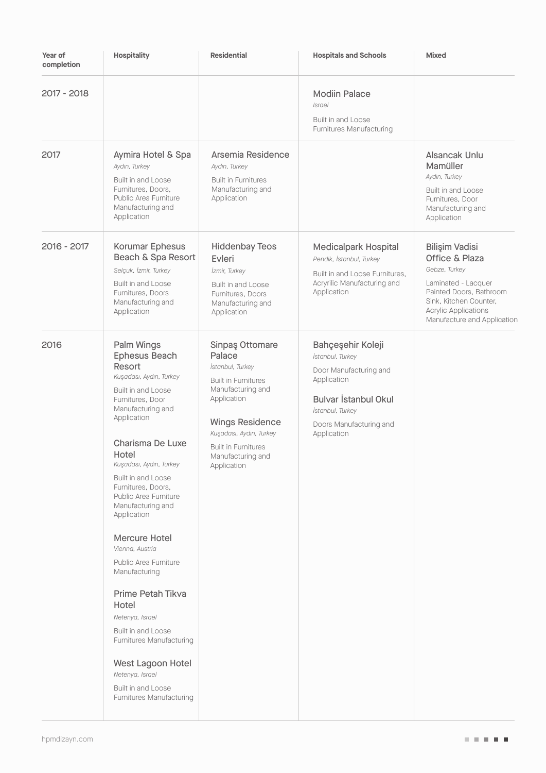| Year of<br>completion | Hospitality                                                                                                                                                                                                                                                                                                                                                                                                                                                                                                                                                                                       | <b>Residential</b>                                                                                                                                                                                                                     | <b>Hospitals and Schools</b>                                                                                                                                         | <b>Mixed</b>                                                                                                                                                                                |
|-----------------------|---------------------------------------------------------------------------------------------------------------------------------------------------------------------------------------------------------------------------------------------------------------------------------------------------------------------------------------------------------------------------------------------------------------------------------------------------------------------------------------------------------------------------------------------------------------------------------------------------|----------------------------------------------------------------------------------------------------------------------------------------------------------------------------------------------------------------------------------------|----------------------------------------------------------------------------------------------------------------------------------------------------------------------|---------------------------------------------------------------------------------------------------------------------------------------------------------------------------------------------|
| 2017 - 2018           |                                                                                                                                                                                                                                                                                                                                                                                                                                                                                                                                                                                                   |                                                                                                                                                                                                                                        | <b>Modiin Palace</b><br><i>Israel</i><br><b>Built in and Loose</b><br>Furnitures Manufacturing                                                                       |                                                                                                                                                                                             |
| 2017                  | Aymira Hotel & Spa<br>Aydın, Turkey<br>Built in and Loose<br>Furnitures, Doors,<br>Public Area Furniture<br>Manufacturing and<br>Application                                                                                                                                                                                                                                                                                                                                                                                                                                                      | Arsemia Residence<br>Aydın, Turkey<br><b>Built in Furnitures</b><br>Manufacturing and<br>Application                                                                                                                                   |                                                                                                                                                                      | Alsancak Unlu<br>Mamüller<br>Aydın, Turkey<br>Built in and Loose<br>Furnitures, Door<br>Manufacturing and<br>Application                                                                    |
| 2016 - 2017           | Korumar Ephesus<br>Beach & Spa Resort<br>Selçuk, İzmir, Turkey<br>Built in and Loose<br>Furnitures, Doors<br>Manufacturing and<br>Application                                                                                                                                                                                                                                                                                                                                                                                                                                                     | <b>Hiddenbay Teos</b><br>Evleri<br>İzmir, Turkey<br>Built in and Loose<br>Furnitures, Doors<br>Manufacturing and<br>Application                                                                                                        | <b>Medicalpark Hospital</b><br>Pendik, İstanbul, Turkey<br>Built in and Loose Furnitures,<br>Acryrilic Manufacturing and<br>Application                              | Bilişim Vadisi<br>Office & Plaza<br>Gebze, Turkey<br>Laminated - Lacquer<br>Painted Doors, Bathroom<br>Sink, Kitchen Counter,<br><b>Acrylic Applications</b><br>Manufacture and Application |
| 2016                  | Palm Wings<br>Ephesus Beach<br>Resort<br>Kuşadası, Aydın, Turkey<br>Built in and Loose<br>Furnitures, Door<br>Manufacturing and<br>Application<br>Charisma De Luxe<br>Hotel<br>Kuşadası, Aydın, Turkey<br>Built in and Loose<br>Furnitures, Doors,<br>Public Area Furniture<br>Manufacturing and<br>Application<br><b>Mercure Hotel</b><br>Vienna, Austria<br>Public Area Furniture<br>Manufacturing<br>Prime Petah Tikva<br>Hotel<br>Netenya, Israel<br>Built in and Loose<br>Furnitures Manufacturing<br>West Lagoon Hotel<br>Netenya, Israel<br>Built in and Loose<br>Furnitures Manufacturing | Sinpaş Ottomare<br>Palace<br>İstanbul, Turkey<br><b>Built in Furnitures</b><br>Manufacturing and<br>Application<br><b>Wings Residence</b><br>Kuşadası, Aydın, Turkey<br><b>Built in Furnitures</b><br>Manufacturing and<br>Application | Bahçeşehir Koleji<br>İstanbul, Turkey<br>Door Manufacturing and<br>Application<br>Bulvar İstanbul Okul<br>İstanbul, Turkey<br>Doors Manufacturing and<br>Application |                                                                                                                                                                                             |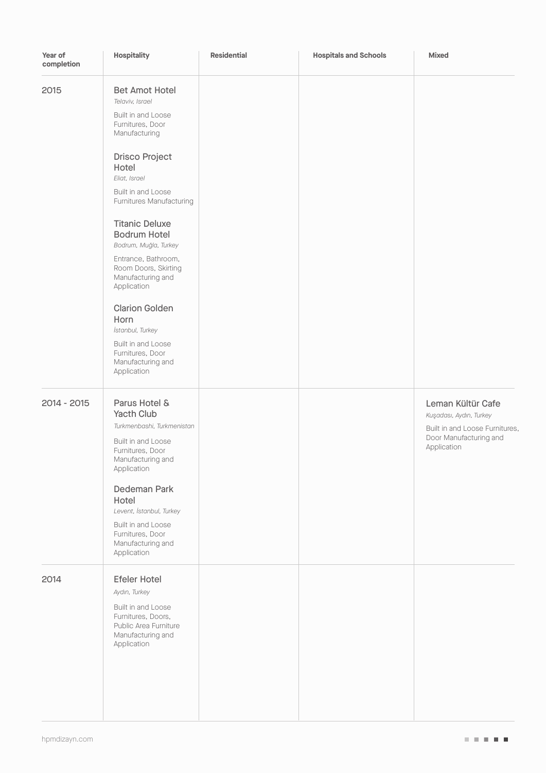| Year of<br>completion | Hospitality                                                                                                                                                                                                                                                                                                                                                                                                                                                                                             | <b>Residential</b> | <b>Hospitals and Schools</b> | Mixed                                                                                                                   |
|-----------------------|---------------------------------------------------------------------------------------------------------------------------------------------------------------------------------------------------------------------------------------------------------------------------------------------------------------------------------------------------------------------------------------------------------------------------------------------------------------------------------------------------------|--------------------|------------------------------|-------------------------------------------------------------------------------------------------------------------------|
| 2015                  | <b>Bet Amot Hotel</b><br>Telaviv, Israel<br>Built in and Loose<br>Furnitures, Door<br>Manufacturing<br><b>Drisco Project</b><br>Hotel<br>Eliat, Israel<br>Built in and Loose<br>Furnitures Manufacturing<br><b>Titanic Deluxe</b><br><b>Bodrum Hotel</b><br>Bodrum, Muğla, Turkey<br>Entrance, Bathroom,<br>Room Doors, Skirting<br>Manufacturing and<br>Application<br><b>Clarion Golden</b><br>Horn<br>İstanbul, Turkey<br>Built in and Loose<br>Furnitures, Door<br>Manufacturing and<br>Application |                    |                              |                                                                                                                         |
| 2014 - 2015           | Parus Hotel &<br>Yacth Club<br>Turkmenbashi, Turkmenistan<br>Built in and Loose<br>Furnitures, Door<br>Manufacturing and<br>Application<br>Dedeman Park<br>Hotel<br>Levent, İstanbul, Turkey<br>Built in and Loose<br>Furnitures, Door<br>Manufacturing and<br>Application                                                                                                                                                                                                                              |                    |                              | Leman Kültür Cafe<br>Kuşadası, Aydın, Turkey<br>Built in and Loose Furnitures,<br>Door Manufacturing and<br>Application |
| 2014                  | <b>Efeler Hotel</b><br>Aydın, Turkey<br>Built in and Loose<br>Furnitures, Doors,<br>Public Area Furniture<br>Manufacturing and<br>Application                                                                                                                                                                                                                                                                                                                                                           |                    |                              |                                                                                                                         |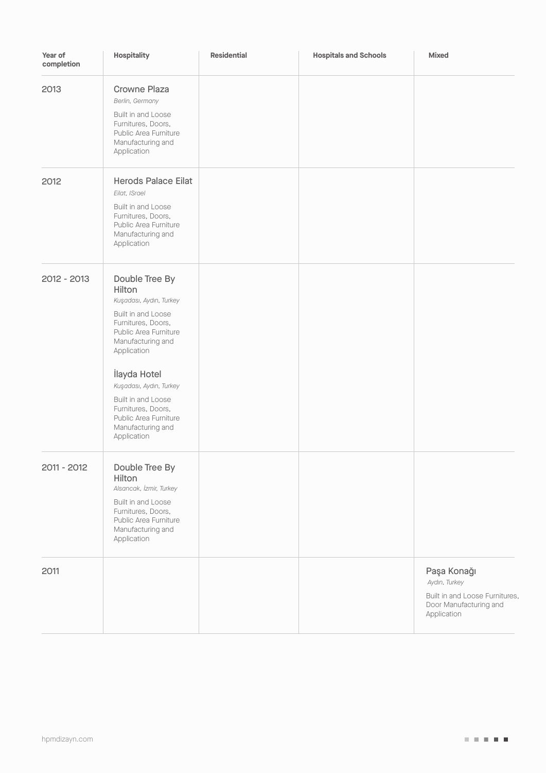| Year of<br>completion | Hospitality                                                                                                                                                                                                                                                                                                      | <b>Residential</b> | <b>Hospitals and Schools</b> | Mixed                                                                                                   |
|-----------------------|------------------------------------------------------------------------------------------------------------------------------------------------------------------------------------------------------------------------------------------------------------------------------------------------------------------|--------------------|------------------------------|---------------------------------------------------------------------------------------------------------|
| 2013                  | <b>Crowne Plaza</b><br>Berlin, Germany<br>Built in and Loose<br>Furnitures, Doors,<br>Public Area Furniture<br>Manufacturing and<br>Application                                                                                                                                                                  |                    |                              |                                                                                                         |
| 2012                  | <b>Herods Palace Eilat</b><br>Eilat, ISrael<br>Built in and Loose<br>Furnitures, Doors,<br>Public Area Furniture<br>Manufacturing and<br>Application                                                                                                                                                             |                    |                              |                                                                                                         |
| 2012 - 2013           | Double Tree By<br>Hilton<br>Kuşadası, Aydın, Turkey<br>Built in and Loose<br>Furnitures, Doors,<br>Public Area Furniture<br>Manufacturing and<br>Application<br>İlayda Hotel<br>Kuşadası, Aydın, Turkey<br>Built in and Loose<br>Furnitures, Doors,<br>Public Area Furniture<br>Manufacturing and<br>Application |                    |                              |                                                                                                         |
| 2011 - 2012           | Double Tree By<br>Hilton<br>Alsancak, İzmir, Turkey<br>Built in and Loose<br>Furnitures, Doors,<br>Public Area Furniture<br>Manufacturing and<br>Application                                                                                                                                                     |                    |                              |                                                                                                         |
| 2011                  |                                                                                                                                                                                                                                                                                                                  |                    |                              | Paşa Konağı<br>Aydın, Turkey<br>Built in and Loose Furnitures,<br>Door Manufacturing and<br>Application |